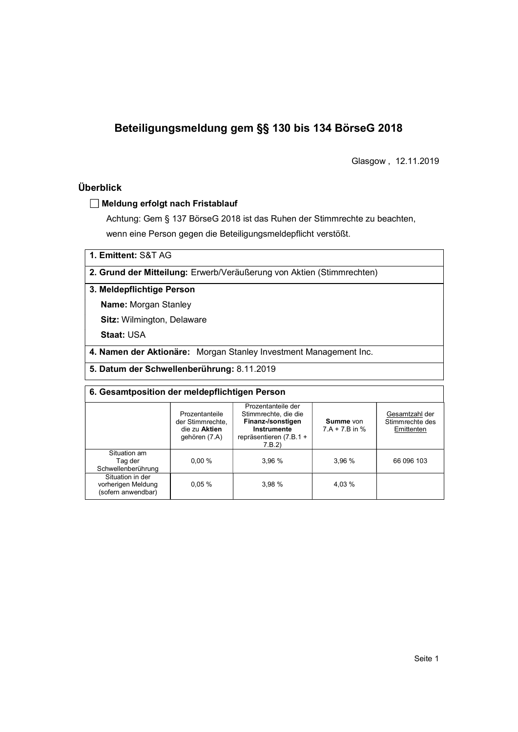# Beteiligungsmeldung gem §§ 130 bis 134 BörseG 2018

Glasgow , 12.11.2019

# Überblick

### Meldung erfolgt nach Fristablauf

Achtung: Gem § 137 BörseG 2018 ist das Ruhen der Stimmrechte zu beachten, wenn eine Person gegen die Beteiligungsmeldepflicht verstößt.

1. Emittent: S&T AG

2. Grund der Mitteilung: Erwerb/Veräußerung von Aktien (Stimmrechten)

#### 3. Meldepflichtige Person

Name: Morgan Stanley

Sitz: Wilmington, Delaware

Staat: USA

4. Namen der Aktionäre: Morgan Stanley Investment Management Inc.

5. Datum der Schwellenberührung: 8.11.2019

| 6. Gesamtposition der meldepflichtigen Person                |                                                                      |                                                                                                                    |                               |                                                 |  |  |
|--------------------------------------------------------------|----------------------------------------------------------------------|--------------------------------------------------------------------------------------------------------------------|-------------------------------|-------------------------------------------------|--|--|
|                                                              | Prozentanteile<br>der Stimmrechte,<br>die zu Aktien<br>gehören (7.A) | Prozentanteile der<br>Stimmrechte, die die<br>Finanz-/sonstigen<br>Instrumente<br>repräsentieren (7.B.1 +<br>7.B.2 | Summe von<br>$7.A + 7.B$ in % | Gesamtzahl der<br>Stimmrechte des<br>Emittenten |  |  |
| Situation am<br>Tag der<br>Schwellenberührung                | $0.00 \%$                                                            | 3.96 %                                                                                                             | 3,96 %                        | 66 096 103                                      |  |  |
| Situation in der<br>vorherigen Meldung<br>(sofern anwendbar) | 0.05%                                                                | 3.98%                                                                                                              | 4,03 %                        |                                                 |  |  |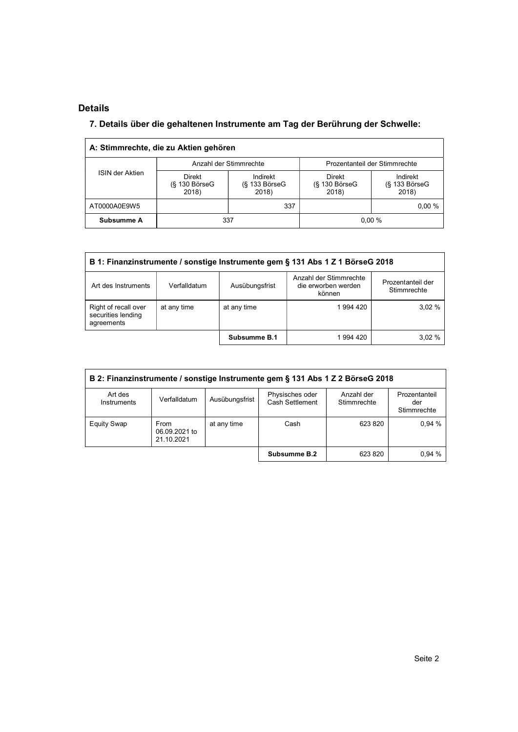# Details

l,

# 7. Details über die gehaltenen Instrumente am Tag der Berührung der Schwelle:

|                 | A: Stimmrechte, die zu Aktien gehören        |                                         |                                       |                                         |  |
|-----------------|----------------------------------------------|-----------------------------------------|---------------------------------------|-----------------------------------------|--|
|                 |                                              | Anzahl der Stimmrechte                  | Prozentanteil der Stimmrechte         |                                         |  |
| ISIN der Aktien | <b>Direkt</b><br>$(S$ 130 Börse $G$<br>2018) | Indirekt<br>$(S$ 133 Börse $G$<br>2018) | Direkt<br>$(S$ 130 Börse $G$<br>2018) | Indirekt<br>$(S$ 133 Börse $G$<br>2018) |  |
| AT0000A0E9W5    |                                              | 337                                     |                                       | $0.00 \%$                               |  |
| Subsumme A      | 337                                          |                                         | 0.00%                                 |                                         |  |

| B 1: Finanzinstrumente / sonstige Instrumente gem § 131 Abs 1 Z 1 BörseG 2018 |              |                |                                                         |                                  |  |  |  |
|-------------------------------------------------------------------------------|--------------|----------------|---------------------------------------------------------|----------------------------------|--|--|--|
| Art des Instruments                                                           | Verfalldatum | Ausübungsfrist | Anzahl der Stimmrechte<br>die erworben werden<br>können | Prozentanteil der<br>Stimmrechte |  |  |  |
| Right of recall over<br>securities lending<br>agreements                      | at any time  | at any time    | 1 994 420                                               | 3.02%                            |  |  |  |
|                                                                               |              | Subsumme B.1   | 994 420                                                 | 3.02%                            |  |  |  |

| B 2: Finanzinstrumente / sonstige Instrumente gem § 131 Abs 1 Z 2 BörseG 2018 |                                     |                |                                    |                           |                                     |  |  |
|-------------------------------------------------------------------------------|-------------------------------------|----------------|------------------------------------|---------------------------|-------------------------------------|--|--|
| Art des<br>Instruments                                                        | Verfalldatum                        | Ausübungsfrist | Physisches oder<br>Cash Settlement | Anzahl der<br>Stimmrechte | Prozentanteil<br>der<br>Stimmrechte |  |  |
| <b>Equity Swap</b>                                                            | From<br>06.09.2021 to<br>21.10.2021 | at any time    | Cash                               | 623 820                   | 0.94%                               |  |  |
|                                                                               |                                     |                | Subsumme B.2                       | 623 820                   | 0.94%                               |  |  |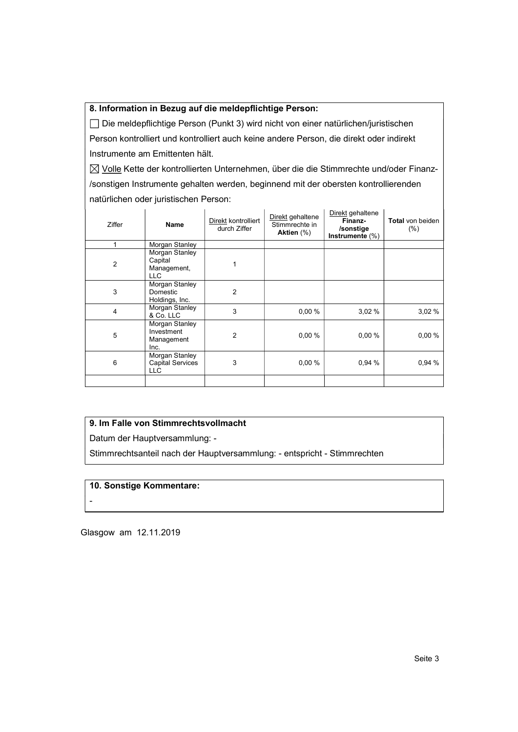#### 8. Information in Bezug auf die meldepflichtige Person:

 Die meldepflichtige Person (Punkt 3) wird nicht von einer natürlichen/juristischen Person kontrolliert und kontrolliert auch keine andere Person, die direkt oder indirekt Instrumente am Emittenten hält.

 $\boxtimes$  Volle Kette der kontrollierten Unternehmen, über die die Stimmrechte und/oder Finanz-/sonstigen Instrumente gehalten werden, beginnend mit der obersten kontrollierenden natürlichen oder juristischen Person:

| Ziffer         | Name                                                    | Direkt kontrolliert<br>durch Ziffer | Direkt gehaltene<br>Stimmrechte in<br>Aktien $(\%)$ | Direkt gehaltene<br>Finanz-<br>/sonstige<br>Instrumente $(\%)$ | <b>Total</b> von beiden<br>(% ) |
|----------------|---------------------------------------------------------|-------------------------------------|-----------------------------------------------------|----------------------------------------------------------------|---------------------------------|
|                | Morgan Stanley                                          |                                     |                                                     |                                                                |                                 |
| $\overline{2}$ | Morgan Stanley<br>Capital<br>Management,<br>LLC         |                                     |                                                     |                                                                |                                 |
| 3              | Morgan Stanley<br>Domestic<br>Holdings, Inc.            | $\overline{2}$                      |                                                     |                                                                |                                 |
| 4              | Morgan Stanley<br>& Co. LLC                             | 3                                   | 0.00%                                               | 3,02%                                                          | 3,02%                           |
| 5              | Morgan Stanley<br>Investment<br>Management<br>Inc.      | $\overline{2}$                      | 0,00%                                               | 0,00%                                                          | 0,00%                           |
| 6              | Morgan Stanley<br><b>Capital Services</b><br><b>LLC</b> | 3                                   | 0,00%                                               | 0.94%                                                          | 0.94%                           |
|                |                                                         |                                     |                                                     |                                                                |                                 |

## 9. Im Falle von Stimmrechtsvollmacht

Datum der Hauptversammlung: -

Stimmrechtsanteil nach der Hauptversammlung: - entspricht - Stimmrechten

#### 10. Sonstige Kommentare:

Glasgow am 12.11.2019

**-** Construction of the construction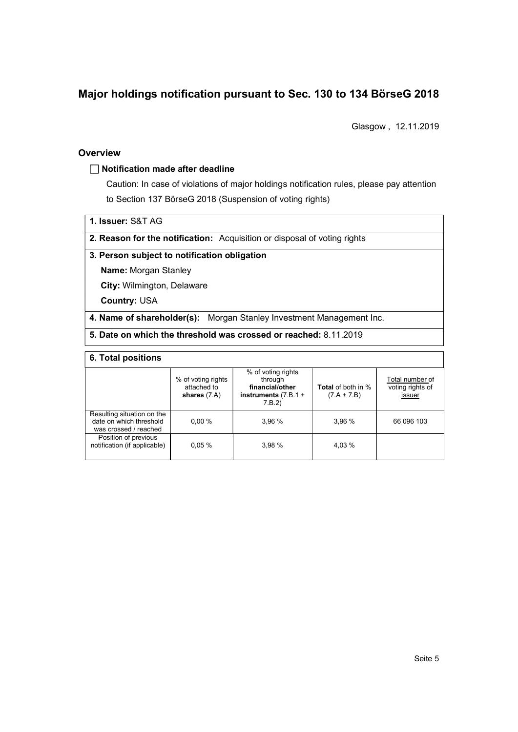# Major holdings notification pursuant to Sec. 130 to 134 BörseG 2018

Glasgow , 12.11.2019

#### **Overview**

#### $\Box$  Notification made after deadline

Caution: In case of violations of major holdings notification rules, please pay attention to Section 137 BörseG 2018 (Suspension of voting rights)

1. Issuer: S&T AG

2. Reason for the notification: Acquisition or disposal of voting rights

#### 3. Person subject to notification obligation

Name: Morgan Stanley

City: Wilmington, Delaware

Country: USA

#### 4. Name of shareholder(s): Morgan Stanley Investment Management Inc.

#### 5. Date on which the threshold was crossed or reached: 8.11.2019

#### 6. Total positions

|                                                                                | % of voting rights<br>attached to<br>shares $(7.A)$ | % of voting rights<br>through<br>financial/other<br>instruments $(7.B.1 +$<br>7.B.2 | <b>Total</b> of both in %<br>$(7.A + 7.B)$ | Total number of<br>voting rights of<br><u>issuer</u> |
|--------------------------------------------------------------------------------|-----------------------------------------------------|-------------------------------------------------------------------------------------|--------------------------------------------|------------------------------------------------------|
| Resulting situation on the<br>date on which threshold<br>was crossed / reached | 0.00%                                               | 3.96%                                                                               | 3.96 %                                     | 66 096 103                                           |
| Position of previous<br>notification (if applicable)                           | 0.05%                                               | 3.98%                                                                               | 4.03 %                                     |                                                      |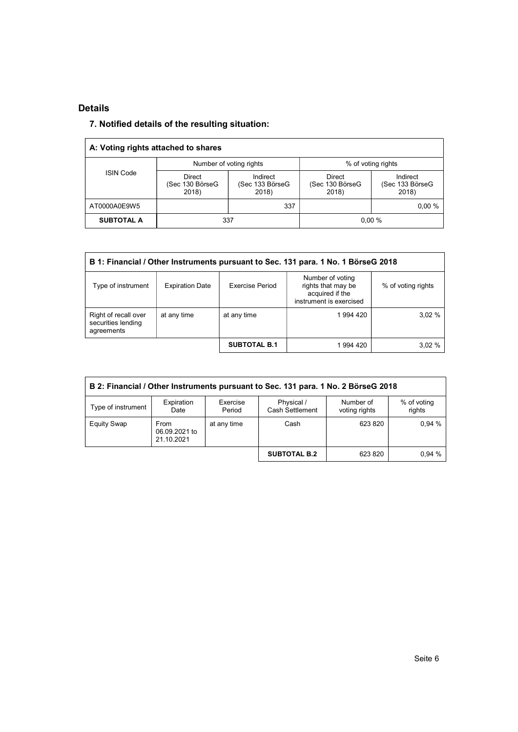### Details

# 7. Notified details of the resulting situation:

| A: Voting rights attached to shares |                                           |                                      |                                    |                                      |  |  |  |
|-------------------------------------|-------------------------------------------|--------------------------------------|------------------------------------|--------------------------------------|--|--|--|
|                                     |                                           | Number of voting rights              | % of voting rights                 |                                      |  |  |  |
| <b>ISIN Code</b>                    | <b>Direct</b><br>(Sec 130 BörseG<br>2018) | Indirect<br>(Sec 133 BörseG<br>2018) | Direct<br>(Sec 130 BörseG<br>2018) | Indirect<br>(Sec 133 BörseG<br>2018) |  |  |  |
| AT0000A0E9W5                        |                                           | 337                                  |                                    | $0.00 \%$                            |  |  |  |
| <b>SUBTOTAL A</b>                   | 337                                       |                                      | 0.00%                              |                                      |  |  |  |

| B 1: Financial / Other Instruments pursuant to Sec. 131 para. 1 No. 1 BörseG 2018 |                        |                     |                                                                                      |                    |  |  |  |
|-----------------------------------------------------------------------------------|------------------------|---------------------|--------------------------------------------------------------------------------------|--------------------|--|--|--|
| Type of instrument                                                                | <b>Expiration Date</b> | Exercise Period     | Number of voting<br>rights that may be<br>acquired if the<br>instrument is exercised | % of voting rights |  |  |  |
| Right of recall over<br>securities lending<br>agreements                          | at any time            | at any time         | 1994 420                                                                             | 3,02%              |  |  |  |
|                                                                                   |                        | <b>SUBTOTAL B.1</b> | 1 994 420                                                                            | 3,02%              |  |  |  |

| B 2: Financial / Other Instruments pursuant to Sec. 131 para. 1 No. 2 BörseG 2018 |                                     |                    |                                      |                            |                       |  |  |
|-----------------------------------------------------------------------------------|-------------------------------------|--------------------|--------------------------------------|----------------------------|-----------------------|--|--|
| Type of instrument                                                                | Expiration<br>Date                  | Exercise<br>Period | Physical /<br><b>Cash Settlement</b> | Number of<br>voting rights | % of voting<br>rights |  |  |
| <b>Equity Swap</b>                                                                | From<br>06.09.2021 to<br>21.10.2021 | at any time        | Cash                                 | 623 820                    | 0.94%                 |  |  |
|                                                                                   |                                     |                    | <b>SUBTOTAL B.2</b>                  | 623 820                    | 0.94%                 |  |  |